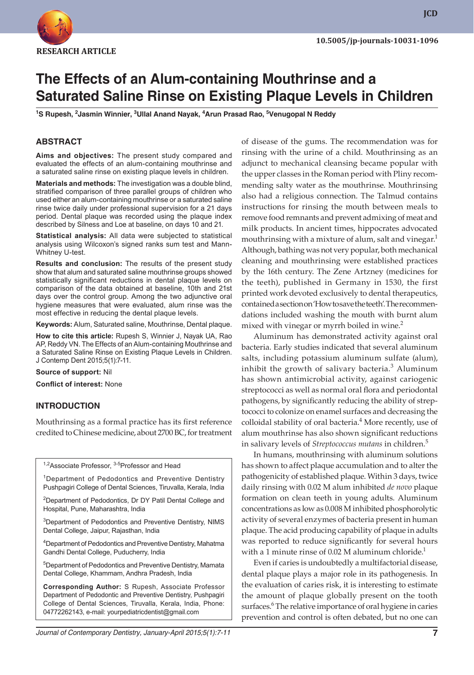

# **The Effects of an Alum-containing Mouthrinse and a Saturated Saline Rinse on Existing Plaque Levels in Children**

**1 S Rupesh, 2 Jasmin Winnier, 3 Ullal Anand Nayak, 4 Arun Prasad Rao, 5 Venugopal N Reddy**

# **ABSTRACT**

**Aims and objectives:** The present study compared and evaluated the effects of an alum-containing mouthrinse and a saturated saline rinse on existing plaque levels in children.

**Materials and methods:** The investigation was a double blind, stratified comparison of three parallel groups of children who used either an alum-containing mouthrinse or a saturated saline rinse twice daily under professional supervision for a 21 days period. Dental plaque was recorded using the plaque index described by Silness and Loe at baseline, on days 10 and 21.

**Statistical analysis:** All data were subjected to statistical analysis using Wilcoxon's signed ranks sum test and Mann-Whitney U-test.

**Results and conclusion:** The results of the present study show that alum and saturated saline mouthrinse groups showed statistically significant reductions in dental plaque levels on comparison of the data obtained at baseline, 10th and 21st days over the control group. Among the two adjunctive oral hygiene measures that were evaluated, alum rinse was the most effective in reducing the dental plaque levels.

**Keywords:** Alum, Saturated saline, Mouthrinse, Dental plaque.

**How to cite this article:** Rupesh S, Winnier J, Nayak UA, Rao AP, Reddy VN. The Effects of an Alum-containing Mouthrinse and a Saturated Saline Rinse on Existing Plaque Levels in Children. J Contemp Dent 2015;5(1):7-11.

**Source of support:** Nil

**Conflict of interest:** None

# **INTRODUCTION**

Mouthrinsing as a formal practice has its first reference credited to Chinese medicine, about 2700 BC, for treatment

<sup>1,2</sup>Associate Professor, <sup>3-5</sup>Professor and Head

<sup>1</sup>Department of Pedodontics and Preventive Dentistry Pushpagiri College of Dental Sciences, Tiruvalla, Kerala, India

<sup>2</sup>Department of Pedodontics, Dr DY Patil Dental College and Hospital, Pune, Maharashtra, India

<sup>3</sup>Department of Pedodontics and Preventive Dentistry, NIMS Dental College, Jaipur, Rajasthan, India

4 Department of Pedodontics and Preventive Dentistry, Mahatma Gandhi Dental College, Puducherry, India

5 Department of Pedodontics and Preventive Dentistry, Mamata Dental College, Khammam, Andhra Pradesh, India

**Corresponding Author:** S Rupesh, Associate Professor Department of Pedodontic and Preventive Dentistry, Pushpagiri College of Dental Sciences, Tiruvalla, Kerala, India, Phone: 04772262143, e-mail: yourpediatricdentist@gmail.com

of disease of the gums. The recommendation was for rinsing with the urine of a child. Mouthrinsing as an adjunct to mechanical cleansing became popular with the upper classes in the Roman period with Pliny recommending salty water as the mouthrinse. Mouthrinsing also had a religious connection. The Talmud contains instructions for rinsing the mouth between meals to remove food remnants and prevent admixing of meat and milk products. In ancient times, hippocrates advocated mouthrinsing with a mixture of alum, salt and vinegar.<sup>1</sup> Although, bathing was not very popular, both mechanical cleaning and mouthrinsing were established practices by the 16th century. The Zene Artzney (medicines for the teeth), published in Germany in 1530, the first printed work devoted exclusively to dental therapeutics, contained a section on 'How to save the teeth'. The recommendations included washing the mouth with burnt alum mixed with vinegar or myrrh boiled in wine. $2$ 

Aluminum has demonstrated activity against oral bacteria. Early studies indicated that several aluminum salts, including potassium aluminum sulfate (alum), inhibit the growth of salivary bacteria.<sup>3</sup> Aluminum has shown antimicrobial activity, against cariogenic streptococci as well as normal oral flora and periodontal pathogens, by significantly reducing the ability of streptococci to colonize on enamel surfaces and decreasing the colloidal stability of oral bacteria.<sup>4</sup> More recently, use of alum mouthrinse has also shown significant reductions in salivary levels of *Streptococcus mutans* in children.<sup>5</sup>

In humans, mouthrinsing with aluminum solutions has shown to affect plaque accumulation and to alter the pathogenicity of established plaque. Within 3 days, twice daily rinsing with 0.02 M alum inhibited *de novo* plaque formation on clean teeth in young adults. Aluminum concentrations as low as 0.008 M inhibited phosphorolytic activity of several enzymes of bacteria present in human plaque. The acid producing capability of plaque in adults was reported to reduce significantly for several hours with a 1 minute rinse of 0.02 M aluminum chloride.<sup>1</sup>

Even if caries is undoubtedly a multifactorial disease, dental plaque plays a major role in its pathogenesis. In the evaluation of caries risk, it is interesting to estimate the amount of plaque globally present on the tooth surfaces.<sup>6</sup> The relative importance of oral hygiene in caries prevention and control is often debated, but no one can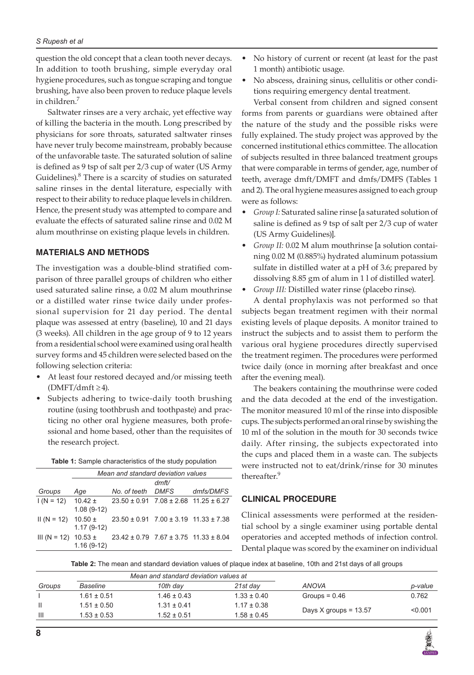#### *S Rupesh et al*

question the old concept that a clean tooth never decays. In addition to tooth brushing, simple everyday oral hygiene procedures, such as tongue scraping and tongue brushing, have also been proven to reduce plaque levels in children.7

Saltwater rinses are a very archaic, yet effective way of killing the bacteria in the mouth. Long prescribed by physicians for sore throats, saturated saltwater rinses have never truly become mainstream, probably because of the unfavorable taste. The saturated solution of saline is defined as 9 tsp of salt per 2/3 cup of water (US Army Guidelines).<sup>8</sup> There is a scarcity of studies on saturated saline rinses in the dental literature, especially with respect to their ability to reduce plaque levels in children. Hence, the present study was attempted to compare and evaluate the effects of saturated saline rinse and 0.02 M alum mouthrinse on existing plaque levels in children.

# **MATERIALS AND METHODS**

The investigation was a double-blind stratified comparison of three parallel groups of children who either used saturated saline rinse, a 0.02 M alum mouthrinse or a distilled water rinse twice daily under professional supervision for 21 day period. The dental plaque was assessed at entry (baseline), 10 and 21 days (3 weeks). All children in the age group of 9 to 12 years from a residential school were examined using oral health survey forms and 45 children were selected based on the following selection criteria:

- At least four restored decayed and/or missing teeth  $(DMFT/dmft \geq 4)$ .
- Subjects adhering to twice-daily tooth brushing routine (using toothbrush and toothpaste) and practicing no other oral hygiene measures, both professional and home based, other than the requisites of the research project.

| Table 1: Sample characteristics of the study population |
|---------------------------------------------------------|
|---------------------------------------------------------|

|                          | Mean and standard deviation values |                                                   |       |           |  |
|--------------------------|------------------------------------|---------------------------------------------------|-------|-----------|--|
|                          |                                    |                                                   | dmft/ |           |  |
| Groups                   | Age                                | No. of teeth DMFS                                 |       | dmfs/DMFS |  |
| $1(N = 12)$ 10.42 ±      | $1.08(9-12)$                       | $23.50 \pm 0.91$ 7.08 $\pm 2.68$ 11.25 $\pm 6.27$ |       |           |  |
| $II(N = 12)$             | $10.50 \pm$<br>$1.17(9-12)$        | $23.50 \pm 0.91$ 7.00 $\pm 3.19$ 11.33 $\pm 7.38$ |       |           |  |
| III (N = 12) $10.53 \pm$ | $1.16(9-12)$                       | $23.42 \pm 0.79$ 7.67 $\pm 3.75$ 11.33 $\pm 8.04$ |       |           |  |

- No history of current or recent (at least for the past 1 month) antibiotic usage.
- No abscess, draining sinus, cellulitis or other conditions requiring emergency dental treatment.

Verbal consent from children and signed consent forms from parents or guardians were obtained after the nature of the study and the possible risks were fully explained. The study project was approved by the concerned institutional ethics committee. The allocation of subjects resulted in three balanced treatment groups that were comparable in terms of gender, age, number of teeth, average dmft/DMFT and dmfs/DMFS (Tables 1 and 2). The oral hygiene measures assigned to each group were as follows:

- *Group I:* Saturated saline rinse [a saturated solution of saline is defined as 9 tsp of salt per 2/3 cup of water (US Army Guidelines)].
- *Group II:* 0.02 M alum mouthrinse [a solution containing 0.02 M (0.885%) hydrated aluminum potassium sulfate in distilled water at a pH of 3.6; prepared by dissolving 8.85 gm of alum in 1 l of distilled water].
- *Group III:* Distilled water rinse (placebo rinse).

A dental prophylaxis was not performed so that subjects began treatment regimen with their normal existing levels of plaque deposits. A monitor trained to instruct the subjects and to assist them to perform the various oral hygiene procedures directly supervised the treatment regimen. The procedures were performed twice daily (once in morning after breakfast and once after the evening meal).

The beakers containing the mouthrinse were coded and the data decoded at the end of the investigation. The monitor measured 10 ml of the rinse into disposible cups. The subjects performed an oral rinse by swishing the 10 ml of the solution in the mouth for 30 seconds twice daily. After rinsing, the subjects expectorated into the cups and placed them in a waste can. The subjects were instructed not to eat/drink/rinse for 30 minutes thereafter.<sup>9</sup>

# **CLINICAL PROCEDURE**

Clinical assessments were performed at the residential school by a single examiner using portable dental operatories and accepted methods of infection control. Dental plaque was scored by the examiner on individual

**Table 2:** The mean and standard deviation values of plaque index at baseline, 10th and 21st days of all groups

| Mean and standard deviation values at |                 |                 |                 |                         |         |
|---------------------------------------|-----------------|-----------------|-----------------|-------------------------|---------|
| Groups                                | Baseline        | 10th day        | 21st dav        | ANOVA                   | p-value |
|                                       | $1.61 \pm 0.51$ | $1.46 \pm 0.43$ | $1.33 \pm 0.40$ | Groups = $0.46$         | 0.762   |
| $\mathbf{H}$                          | $1.51 \pm 0.50$ | $1.31 \pm 0.41$ | $1.17 \pm 0.38$ |                         |         |
| $\mathbf{III}$                        | $1.53 \pm 0.53$ | $1.52 \pm 0.51$ | $1.58 \pm 0.45$ |                         | < 0.001 |
|                                       |                 |                 |                 | Days X groups = $13.57$ |         |

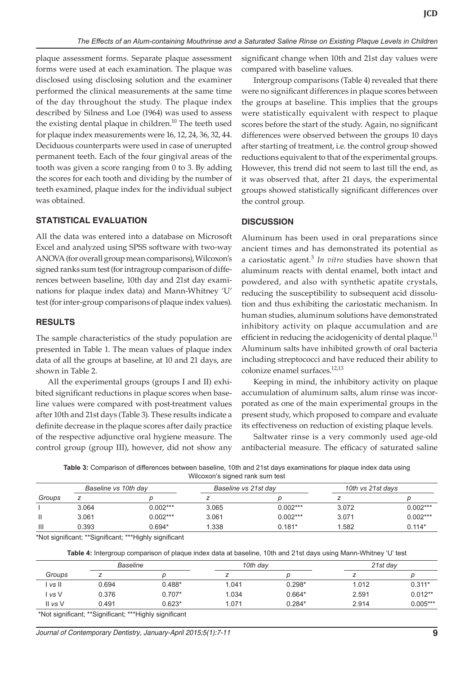plaque assessment forms. Separate plaque assessment forms were used at each examination. The plaque was disclosed using disclosing solution and the examiner performed the clinical measurements at the same time of the day throughout the study. The plaque index described by Silness and Loe (1964) was used to assess the existing dental plaque in children.<sup>10</sup> The teeth used for plaque index measurements were 16, 12, 24, 36, 32, 44. Deciduous counterparts were used in case of unerupted permanent teeth. Each of the four gingival areas of the tooth was given a score ranging from 0 to 3. By adding the scores for each tooth and dividing by the number of teeth examined, plaque index for the individual subject was obtained.

#### **STATISTICAL EVALUATION**

All the data was entered into a database on Microsoft Excel and analyzed using SPSS software with two-way ANOVA (for overall group mean comparisons), Wilcoxon's signed ranks sum test (for intragroup comparison of differences between baseline, 10th day and 21st day examinations for plaque index data) and Mann-Whitney 'U' test (for inter-group comparisons of plaque index values).

#### **RESULTS**

The sample characteristics of the study population are presented in Table 1. The mean values of plaque index data of all the groups at baseline, at 10 and 21 days, are shown in Table 2.

All the experimental groups (groups I and II) exhibited significant reductions in plaque scores when baseline values were compared with post-treatment values after 10th and 21st days (Table 3). These results indicate a definite decrease in the plaque scores after daily practice of the respective adjunctive oral hygiene measure. The control group (group III), however, did not show any

significant change when 10th and 21st day values were compared with baseline values.

Intergroup comparisons (Table 4) revealed that there were no significant differences in plaque scores between the groups at baseline. This implies that the groups were statistically equivalent with respect to plaque scores before the start of the study. Again, no significant differences were observed between the groups 10 days after starting of treatment, i.e. the control group showed reductions equivalent to that of the experimental groups. However, this trend did not seem to last till the end, as it was observed that, after 21 days, the experimental groups showed statistically significant differences over the control group.

#### **DISCUSSION**

Aluminum has been used in oral preparations since ancient times and has demonstrated its potential as a cariostatic agent.<sup>3</sup> *In vitro* studies have shown that aluminum reacts with dental enamel, both intact and powdered, and also with synthetic apatite crystals, reducing the susceptibility to subsequent acid dissolution and thus exhibiting the cariostatic mechanism. In human studies, aluminum solutions have demonstrated inhibitory activity on plaque accumulation and are efficient in reducing the acidogenicity of dental plaque.<sup>11</sup> Aluminum salts have inhibited growth of oral bacteria including streptococci and have reduced their ability to colonize enamel surfaces.<sup>12,13</sup>

Keeping in mind, the inhibitory activity on plaque accumulation of aluminum salts, alum rinse was incorporated as one of the main experimental groups in the present study, which proposed to compare and evaluate its effectiveness on reduction of existing plaque levels.

Saltwater rinse is a very commonly used age-old antibacterial measure. The efficacy of saturated saline

**Table 3:** Comparison of differences between baseline, 10th and 21st days examinations for plaque index data using Wilcoxon's signed rank sum test

| Baseline vs 10th day |       | Baseline vs 21st day |       | 10th vs 21st days |       |            |
|----------------------|-------|----------------------|-------|-------------------|-------|------------|
| Groups               |       |                      |       |                   |       |            |
|                      | 3.064 | $0.002***$           | 3.065 | $0.002***$        | 3.072 | $0.002***$ |
|                      | 3.061 | $0.002***$           | 3.061 | $0.002***$        | 3.071 | $0.002***$ |
| Ш                    | 0.393 | $0.694*$             | 1.338 | $0.181*$          | 1.582 | $0.114*$   |

\*Not significant; \*\*Significant; \*\*\*Highly significant

**Table 4:** Intergroup comparison of plaque index data at baseline, 10th and 21st days using Mann-Whitney 'U' test

| Baseline |       | 10th day |       | 21st day |       |            |
|----------|-------|----------|-------|----------|-------|------------|
| Groups   |       |          |       |          |       |            |
| l vs II  | 0.694 | $0.488*$ | 1.041 | $0.298*$ | 1.012 | $0.311*$   |
| I vs V   | 0.376 | $0.707*$ | 1.034 | $0.664*$ | 2.591 | $0.012**$  |
| II vs V  | 0.491 | $0.623*$ | 1.071 | $0.284*$ | 2.914 | $0.005***$ |
|          |       |          |       |          |       |            |

\*Not significant; \*\*Significant; \*\*\*Highly significant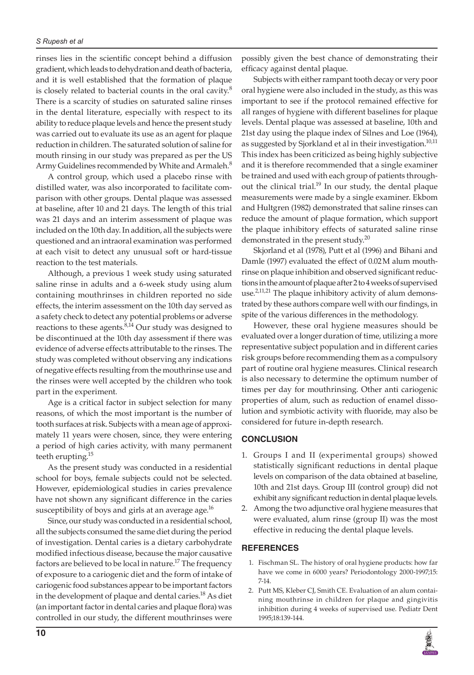rinses lies in the scientific concept behind a diffusion gradient, which leads to dehydration and death of bacteria, and it is well established that the formation of plaque is closely related to bacterial counts in the oral cavity. $8$ There is a scarcity of studies on saturated saline rinses in the dental literature, especially with respect to its ability to reduce plaque levels and hence the present study was carried out to evaluate its use as an agent for plaque reduction in children. The saturated solution of saline for mouth rinsing in our study was prepared as per the US Army Guidelines recommended by White and Armaleh.<sup>8</sup>

A control group, which used a placebo rinse with distilled water, was also incorporated to facilitate comparison with other groups. Dental plaque was assessed at baseline, after 10 and 21 days. The length of this trial was 21 days and an interim assessment of plaque was included on the 10th day. In addition, all the subjects were questioned and an intraoral examination was performed at each visit to detect any unusual soft or hard-tissue reaction to the test materials.

Although, a previous 1 week study using saturated saline rinse in adults and a 6-week study using alum containing mouthrinses in children reported no side effects, the interim assessment on the 10th day served as a safety check to detect any potential problems or adverse reactions to these agents. $8,14$  Our study was designed to be discontinued at the 10th day assessment if there was evidence of adverse effects attributable to the rinses. The study was completed without observing any indications of negative effects resulting from the mouthrinse use and the rinses were well accepted by the children who took part in the experiment.

Age is a critical factor in subject selection for many reasons, of which the most important is the number of tooth surfaces at risk. Subjects with a mean age of approximately 11 years were chosen, since, they were entering a period of high caries activity, with many permanent teeth erupting.<sup>15</sup>

As the present study was conducted in a residential school for boys, female subjects could not be selected. However, epidemiological studies in caries prevalence have not shown any significant difference in the caries susceptibility of boys and girls at an average age.<sup>16</sup>

Since, our study was conducted in a residential school, all the subjects consumed the same diet during the period of investigation. Dental caries is a dietary carbohydrate modified infectious disease, because the major causative factors are believed to be local in nature.<sup>17</sup> The frequency of exposure to a cariogenic diet and the form of intake of cariogenic food substances appear to be important factors in the development of plaque and dental caries.<sup>18</sup> As diet (an important factor in dental caries and plaque flora) was controlled in our study, the different mouthrinses were

possibly given the best chance of demonstrating their efficacy against dental plaque.

Subjects with either rampant tooth decay or very poor oral hygiene were also included in the study, as this was important to see if the protocol remained effective for all ranges of hygiene with different baselines for plaque levels. Dental plaque was assessed at baseline, 10th and 21st day using the plaque index of Silnes and Loe (1964), as suggested by Sjorkland et al in their investigation.<sup>10,11</sup> This index has been criticized as being highly subjective and it is therefore recommended that a single examiner be trained and used with each group of patients throughout the clinical trial.<sup>19</sup> In our study, the dental plaque measurements were made by a single examiner. Ekbom and Hultgren (1982) demonstrated that saline rinses can reduce the amount of plaque formation, which support the plaque inhibitory effects of saturated saline rinse demonstrated in the present study. $^{20}$ 

Skjorland et al (1978), Putt et al (1996) and Bihani and Damle (1997) evaluated the effect of 0.02M alum mouthrinse on plaque inhibition and observed significant reductions in the amount of plaque after 2 to 4 weeks of supervised use.<sup>2,11,21</sup> The plaque inhibitory activity of alum demonstrated by these authors compare well with our findings, in spite of the various differences in the methodology.

However, these oral hygiene measures should be evaluated over a longer duration of time, utilizing a more representative subject population and in different caries risk groups before recommending them as a compulsory part of routine oral hygiene measures. Clinical research is also necessary to determine the optimum number of times per day for mouthrinsing. Other anti cariogenic properties of alum, such as reduction of enamel dissolution and symbiotic activity with fluoride, may also be considered for future in-depth research.

# **CONCLUSION**

- 1. Groups I and II (experimental groups) showed statistically significant reductions in dental plaque levels on comparison of the data obtained at baseline, 10th and 21st days. Group III (control group) did not exhibit any significant reduction in dental plaque levels.
- 2. Among the two adjunctive oral hygiene measures that were evaluated, alum rinse (group II) was the most effective in reducing the dental plaque levels.

# **REFERENCES**

- 1. Fischman SL. The history of oral hygiene products: how far have we come in 6000 years? Periodontology 2000-1997;15: 7-14.
- 2. Putt MS, Kleber CJ, Smith CE. Evaluation of an alum containing mouthrinse in children for plaque and gingivitis inhibition during 4 weeks of supervised use. Pediatr Dent 1995;18:139-144.